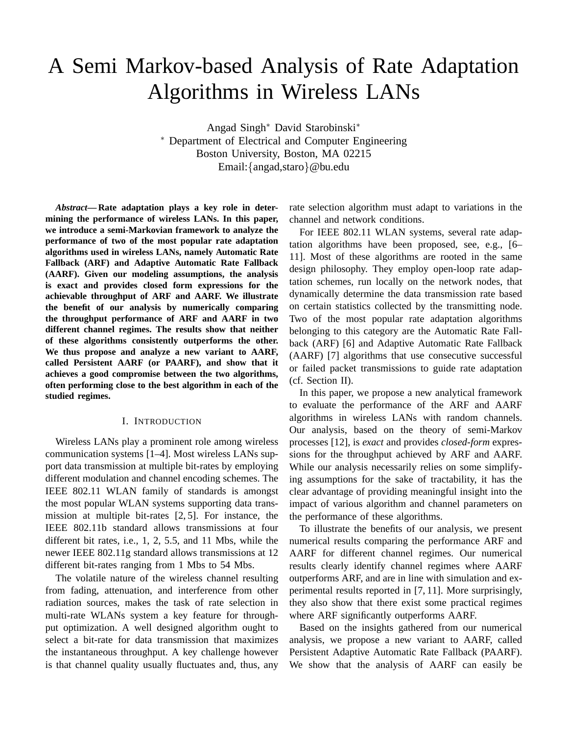# A Semi Markov-based Analysis of Rate Adaptation Algorithms in Wireless LANs

Angad Singh<sup>∗</sup> David Starobinski<sup>∗</sup> <sup>∗</sup> Department of Electrical and Computer Engineering Boston University, Boston, MA 02215 Email:{angad,staro}@bu.edu

*Abstract***— Rate adaptation plays a key role in determining the performance of wireless LANs. In this paper, we introduce a semi-Markovian framework to analyze the performance of two of the most popular rate adaptation algorithms used in wireless LANs, namely Automatic Rate Fallback (ARF) and Adaptive Automatic Rate Fallback (AARF). Given our modeling assumptions, the analysis is exact and provides closed form expressions for the achievable throughput of ARF and AARF. We illustrate the benefit of our analysis by numerically comparing the throughput performance of ARF and AARF in two different channel regimes. The results show that neither of these algorithms consistently outperforms the other. We thus propose and analyze a new variant to AARF, called Persistent AARF (or PAARF), and show that it achieves a good compromise between the two algorithms, often performing close to the best algorithm in each of the studied regimes.**

### I. INTRODUCTION

Wireless LANs play a prominent role among wireless communication systems [1–4]. Most wireless LANs support data transmission at multiple bit-rates by employing different modulation and channel encoding schemes. The IEEE 802.11 WLAN family of standards is amongst the most popular WLAN systems supporting data transmission at multiple bit-rates [2, 5]. For instance, the IEEE 802.11b standard allows transmissions at four different bit rates, i.e., 1, 2, 5.5, and 11 Mbs, while the newer IEEE 802.11g standard allows transmissions at 12 different bit-rates ranging from 1 Mbs to 54 Mbs.

The volatile nature of the wireless channel resulting from fading, attenuation, and interference from other radiation sources, makes the task of rate selection in multi-rate WLANs system a key feature for throughput optimization. A well designed algorithm ought to select a bit-rate for data transmission that maximizes the instantaneous throughput. A key challenge however is that channel quality usually fluctuates and, thus, any

rate selection algorithm must adapt to variations in the channel and network conditions.

For IEEE 802.11 WLAN systems, several rate adaptation algorithms have been proposed, see, e.g., [6– 11]. Most of these algorithms are rooted in the same design philosophy. They employ open-loop rate adaptation schemes, run locally on the network nodes, that dynamically determine the data transmission rate based on certain statistics collected by the transmitting node. Two of the most popular rate adaptation algorithms belonging to this category are the Automatic Rate Fallback (ARF) [6] and Adaptive Automatic Rate Fallback (AARF) [7] algorithms that use consecutive successful or failed packet transmissions to guide rate adaptation (cf. Section II).

In this paper, we propose a new analytical framework to evaluate the performance of the ARF and AARF algorithms in wireless LANs with random channels. Our analysis, based on the theory of semi-Markov processes [12], is *exact* and provides *closed-form* expressions for the throughput achieved by ARF and AARF. While our analysis necessarily relies on some simplifying assumptions for the sake of tractability, it has the clear advantage of providing meaningful insight into the impact of various algorithm and channel parameters on the performance of these algorithms.

To illustrate the benefits of our analysis, we present numerical results comparing the performance ARF and AARF for different channel regimes. Our numerical results clearly identify channel regimes where AARF outperforms ARF, and are in line with simulation and experimental results reported in [7, 11]. More surprisingly, they also show that there exist some practical regimes where ARF significantly outperforms AARF.

Based on the insights gathered from our numerical analysis, we propose a new variant to AARF, called Persistent Adaptive Automatic Rate Fallback (PAARF). We show that the analysis of AARF can easily be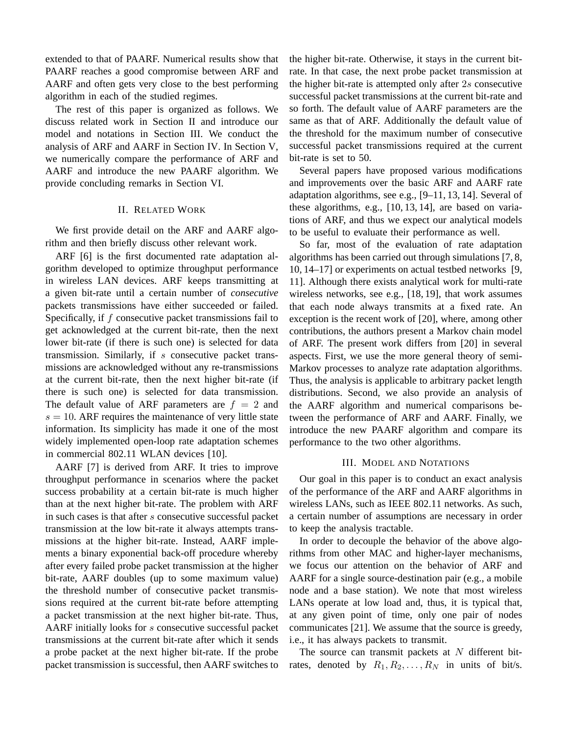extended to that of PAARF. Numerical results show that PAARF reaches a good compromise between ARF and AARF and often gets very close to the best performing algorithm in each of the studied regimes.

The rest of this paper is organized as follows. We discuss related work in Section II and introduce our model and notations in Section III. We conduct the analysis of ARF and AARF in Section IV. In Section V, we numerically compare the performance of ARF and AARF and introduce the new PAARF algorithm. We provide concluding remarks in Section VI.

### II. RELATED WORK

We first provide detail on the ARF and AARF algorithm and then briefly discuss other relevant work.

ARF [6] is the first documented rate adaptation algorithm developed to optimize throughput performance in wireless LAN devices. ARF keeps transmitting at a given bit-rate until a certain number of *consecutive* packets transmissions have either succeeded or failed. Specifically, if f consecutive packet transmissions fail to get acknowledged at the current bit-rate, then the next lower bit-rate (if there is such one) is selected for data transmission. Similarly, if s consecutive packet transmissions are acknowledged without any re-transmissions at the current bit-rate, then the next higher bit-rate (if there is such one) is selected for data transmission. The default value of ARF parameters are  $f = 2$  and  $s = 10$ . ARF requires the maintenance of very little state information. Its simplicity has made it one of the most widely implemented open-loop rate adaptation schemes in commercial 802.11 WLAN devices [10].

AARF [7] is derived from ARF. It tries to improve throughput performance in scenarios where the packet success probability at a certain bit-rate is much higher than at the next higher bit-rate. The problem with ARF in such cases is that after s consecutive successful packet transmission at the low bit-rate it always attempts transmissions at the higher bit-rate. Instead, AARF implements a binary exponential back-off procedure whereby after every failed probe packet transmission at the higher bit-rate, AARF doubles (up to some maximum value) the threshold number of consecutive packet transmissions required at the current bit-rate before attempting a packet transmission at the next higher bit-rate. Thus, AARF initially looks for s consecutive successful packet transmissions at the current bit-rate after which it sends a probe packet at the next higher bit-rate. If the probe packet transmission is successful, then AARF switches to

the higher bit-rate. Otherwise, it stays in the current bitrate. In that case, the next probe packet transmission at the higher bit-rate is attempted only after 2s consecutive successful packet transmissions at the current bit-rate and so forth. The default value of AARF parameters are the same as that of ARF. Additionally the default value of the threshold for the maximum number of consecutive successful packet transmissions required at the current bit-rate is set to 50.

Several papers have proposed various modifications and improvements over the basic ARF and AARF rate adaptation algorithms, see e.g., [9–11, 13, 14]. Several of these algorithms, e.g., [10, 13, 14], are based on variations of ARF, and thus we expect our analytical models to be useful to evaluate their performance as well.

So far, most of the evaluation of rate adaptation algorithms has been carried out through simulations [7, 8, 10, 14–17] or experiments on actual testbed networks [9, 11]. Although there exists analytical work for multi-rate wireless networks, see e.g., [18, 19], that work assumes that each node always transmits at a fixed rate. An exception is the recent work of [20], where, among other contributions, the authors present a Markov chain model of ARF. The present work differs from [20] in several aspects. First, we use the more general theory of semi-Markov processes to analyze rate adaptation algorithms. Thus, the analysis is applicable to arbitrary packet length distributions. Second, we also provide an analysis of the AARF algorithm and numerical comparisons between the performance of ARF and AARF. Finally, we introduce the new PAARF algorithm and compare its performance to the two other algorithms.

### III. MODEL AND NOTATIONS

Our goal in this paper is to conduct an exact analysis of the performance of the ARF and AARF algorithms in wireless LANs, such as IEEE 802.11 networks. As such, a certain number of assumptions are necessary in order to keep the analysis tractable.

In order to decouple the behavior of the above algorithms from other MAC and higher-layer mechanisms, we focus our attention on the behavior of ARF and AARF for a single source-destination pair (e.g., a mobile node and a base station). We note that most wireless LANs operate at low load and, thus, it is typical that, at any given point of time, only one pair of nodes communicates [21]. We assume that the source is greedy, i.e., it has always packets to transmit.

The source can transmit packets at  $N$  different bitrates, denoted by  $R_1, R_2, \ldots, R_N$  in units of bit/s.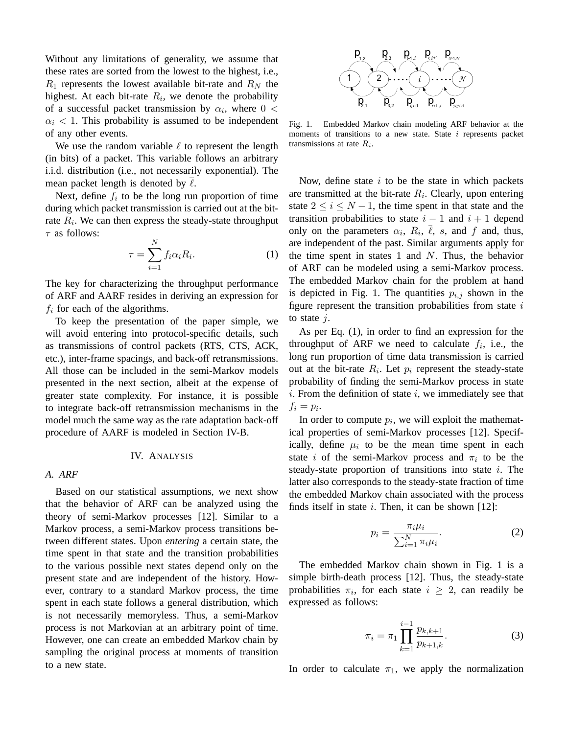Without any limitations of generality, we assume that these rates are sorted from the lowest to the highest, i.e.,  $R_1$  represents the lowest available bit-rate and  $R_N$  the highest. At each bit-rate  $R_i$ , we denote the probability of a successful packet transmission by  $\alpha_i$ , where  $0 <$  $\alpha_i$  < 1. This probability is assumed to be independent of any other events.

We use the random variable  $\ell$  to represent the length (in bits) of a packet. This variable follows an arbitrary i.i.d. distribution (i.e., not necessarily exponential). The mean packet length is denoted by  $\overline{\ell}$ .

Next, define  $f_i$  to be the long run proportion of time during which packet transmission is carried out at the bitrate  $R_i$ . We can then express the steady-state throughput  $\tau$  as follows:

$$
\tau = \sum_{i=1}^{N} f_i \alpha_i R_i.
$$
 (1)

The key for characterizing the throughput performance of ARF and AARF resides in deriving an expression for  $f_i$  for each of the algorithms.

To keep the presentation of the paper simple, we will avoid entering into protocol-specific details, such as transmissions of control packets (RTS, CTS, ACK, etc.), inter-frame spacings, and back-off retransmissions. All those can be included in the semi-Markov models presented in the next section, albeit at the expense of greater state complexity. For instance, it is possible to integrate back-off retransmission mechanisms in the model much the same way as the rate adaptation back-off procedure of AARF is modeled in Section IV-B.

### IV. ANALYSIS

# *A. ARF*

Based on our statistical assumptions, we next show that the behavior of ARF can be analyzed using the theory of semi-Markov processes [12]. Similar to a Markov process, a semi-Markov process transitions between different states. Upon *entering* a certain state, the time spent in that state and the transition probabilities to the various possible next states depend only on the present state and are independent of the history. However, contrary to a standard Markov process, the time spent in each state follows a general distribution, which is not necessarily memoryless. Thus, a semi-Markov process is not Markovian at an arbitrary point of time. However, one can create an embedded Markov chain by sampling the original process at moments of transition R, expressed the lowest available between state R<sub>2</sub>, the pressed in Section 1.1  $\langle X, Y \rangle$ <br>  $\langle Y, Y \rangle$ <br>  $\langle Y, Y \rangle$ <br>  $\langle Y, Y \rangle$ <br>  $\langle Y, Y \rangle$ <br>  $\langle Y, Y \rangle$ <br>  $\langle Y, Y \rangle$ <br>  $\langle Y, Y \rangle$ <br>  $\langle Y, Y \rangle$ <br>  $\langle Y, Y \rangle$ <br>  $\langle Y, Y \rangle$ <br>  $\langle Y, Y \rangle$ <br>  $\langle Y, Y \rangle$ 



Fig. 1. Embedded Markov chain modeling ARF behavior at the moments of transitions to a new state. State  $i$  represents packet transmissions at rate  $R_i$ .

Now, define state  $i$  to be the state in which packets are transmitted at the bit-rate  $R_i$ . Clearly, upon entering state  $2 \le i \le N - 1$ , the time spent in that state and the transition probabilities to state  $i - 1$  and  $i + 1$  depend only on the parameters  $\alpha_i$ ,  $R_i$ ,  $\overline{\ell}$ , s, and f and, thus, are independent of the past. Similar arguments apply for the time spent in states 1 and  $N$ . Thus, the behavior of ARF can be modeled using a semi-Markov process. The embedded Markov chain for the problem at hand is depicted in Fig. 1. The quantities  $p_{i,j}$  shown in the figure represent the transition probabilities from state  $i$ to state  $i$ .

As per Eq. (1), in order to find an expression for the throughput of ARF we need to calculate  $f_i$ , i.e., the long run proportion of time data transmission is carried out at the bit-rate  $R_i$ . Let  $p_i$  represent the steady-state probability of finding the semi-Markov process in state  $i.$  From the definition of state  $i$ , we immediately see that  $f_i = p_i.$ 

In order to compute  $p_i$ , we will exploit the mathematical properties of semi-Markov processes [12]. Specifically, define  $\mu_i$  to be the mean time spent in each state *i* of the semi-Markov process and  $\pi_i$  to be the steady-state proportion of transitions into state  $i$ . The latter also corresponds to the steady-state fraction of time the embedded Markov chain associated with the process finds itself in state  $i$ . Then, it can be shown [12]:

$$
p_i = \frac{\pi_i \mu_i}{\sum_{i=1}^N \pi_i \mu_i}.
$$
 (2)

The embedded Markov chain shown in Fig. 1 is a simple birth-death process [12]. Thus, the steady-state probabilities  $\pi_i$ , for each state  $i \geq 2$ , can readily be expressed as follows:

$$
\pi_i = \pi_1 \prod_{k=1}^{i-1} \frac{p_{k,k+1}}{p_{k+1,k}}.
$$
\n(3)

In order to calculate  $\pi_1$ , we apply the normalization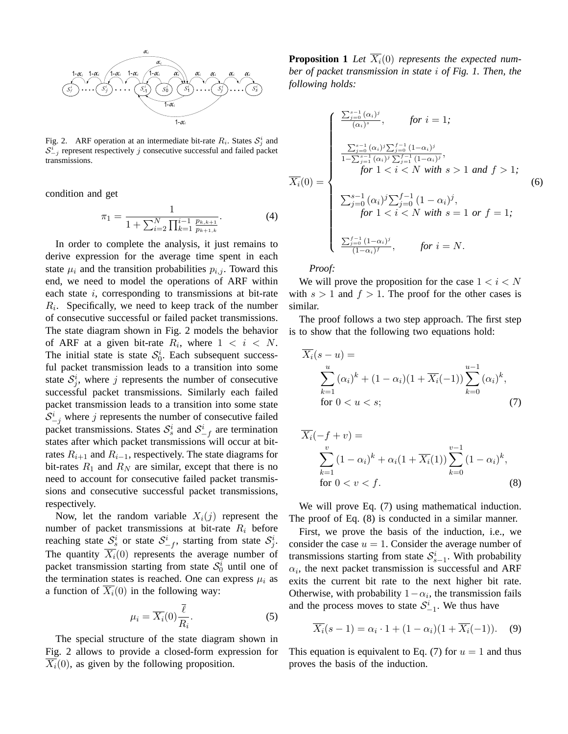

Fig. 2. ARF operation at an intermediate bit-rate  $R_i$ . States  $S_j^i$  and  $S_{-j}^i$  represent respectively j consecutive successful and failed packet transmissions.

condition and get

$$
\pi_1 = \frac{1}{1 + \sum_{i=2}^{N} \prod_{k=1}^{i-1} \frac{p_{k,k+1}}{p_{k+1,k}}}.
$$
(4)

In order to complete the analysis, it just remains to derive expression for the average time spent in each state  $\mu_i$  and the transition probabilities  $p_{i,j}$ . Toward this end, we need to model the operations of ARF within each state  $i$ , corresponding to transmissions at bit-rate  $R_i$ . Specifically, we need to keep track of the number of consecutive successful or failed packet transmissions. The state diagram shown in Fig. 2 models the behavior of ARF at a given bit-rate  $R_i$ , where  $1 \lt i \lt N$ . The initial state is state  $S_0^i$ . Each subsequent successful packet transmission leads to a transition into some state  $S_j^i$ , where j represents the number of consecutive successful packet transmissions. Similarly each failed packet transmission leads to a transition into some state  $S_{-j}^{i}$  where j represents the number of consecutive failed packet transmissions. States  $S_s^i$  and  $S_{-f}^i$  are termination states after which packet transmissions will occur at bitrates  $R_{i+1}$  and  $R_{i-1}$ , respectively. The state diagrams for bit-rates  $R_1$  and  $R_N$  are similar, except that there is no need to account for consecutive failed packet transmissions and consecutive successful packet transmissions, respectively.

Now, let the random variable  $X_i(j)$  represent the number of packet transmissions at bit-rate  $R_i$  before reaching state  $S^i_s$  or state  $S^i_{-f}$ , starting from state  $S^i_j$ . The quantity  $\overline{X_i}(0)$  represents the average number of packet transmission starting from state  $S_0^i$  until one of the termination states is reached. One can express  $\mu_i$  as a function of  $\overline{X_i}(0)$  in the following way:

$$
\mu_i = \overline{X_i}(0) \frac{\overline{\ell}}{R_i}.
$$
 (5)

The special structure of the state diagram shown in Fig. 2 allows to provide a closed-form expression for  $\overline{X_i}(0)$ , as given by the following proposition.

**Proposition 1** Let  $\overline{X_i}(0)$  represents the expected num*ber of packet transmission in state* i *of Fig. 1. Then, the following holds:*

$$
\overline{X}_{i}(0) = \begin{cases}\n\frac{\sum_{j=0}^{s-1} (\alpha_{i})^{j}}{(\alpha_{i})^{s}}, & \text{for } i = 1; \\
\frac{\sum_{j=0}^{s-1} (\alpha_{i})^{j} \sum_{j=0}^{f-1} (1-\alpha_{i})^{j}}{1-\sum_{j=1}^{s-1} (\alpha_{i})^{j} \sum_{j=1}^{f-1} (1-\alpha_{i})^{j}}, \\
\text{for } 1 < i < N \text{ with } s > 1 \text{ and } f > 1; \\
\sum_{j=0}^{s-1} (\alpha_{i})^{j} \sum_{j=0}^{f-1} (1-\alpha_{i})^{j}, \\
\text{for } 1 < i < N \text{ with } s = 1 \text{ or } f = 1; \\
\frac{\sum_{j=0}^{f-1} (1-\alpha_{i})^{j}}{(1-\alpha_{i})^{f}}, & \text{for } i = N.\n\end{cases}
$$
\n(6)

*Proof:*

We will prove the proposition for the case  $1 < i < N$ with  $s > 1$  and  $f > 1$ . The proof for the other cases is similar.

The proof follows a two step approach. The first step is to show that the following two equations hold:

$$
\overline{X_i}(s-u) = \sum_{k=1}^u (\alpha_i)^k + (1-\alpha_i)(1+\overline{X_i}(-1)) \sum_{k=0}^{u-1} (\alpha_i)^k,
$$
  
for  $0 < u < s$ ;\n(7)

$$
\overline{X_i}(-f + v) = \sum_{k=1}^{v} (1 - \alpha_i)^k + \alpha_i (1 + \overline{X_i}(1)) \sum_{k=0}^{v-1} (1 - \alpha_i)^k,
$$
  
for  $0 < v < f$ . (8)

We will prove Eq.  $(7)$  using mathematical induction. The proof of Eq. (8) is conducted in a similar manner.

First, we prove the basis of the induction, i.e., we consider the case  $u = 1$ . Consider the average number of transmissions starting from state  $S_{s-1}^i$ . With probability  $\alpha_i$ , the next packet transmission is successful and ARF exits the current bit rate to the next higher bit rate. Otherwise, with probability  $1 - \alpha_i$ , the transmission fails and the process moves to state  $S_{-1}^i$ . We thus have

$$
\overline{X_i}(s-1) = \alpha_i \cdot 1 + (1 - \alpha_i)(1 + \overline{X_i}(-1)).
$$
 (9)

This equation is equivalent to Eq. (7) for  $u = 1$  and thus proves the basis of the induction.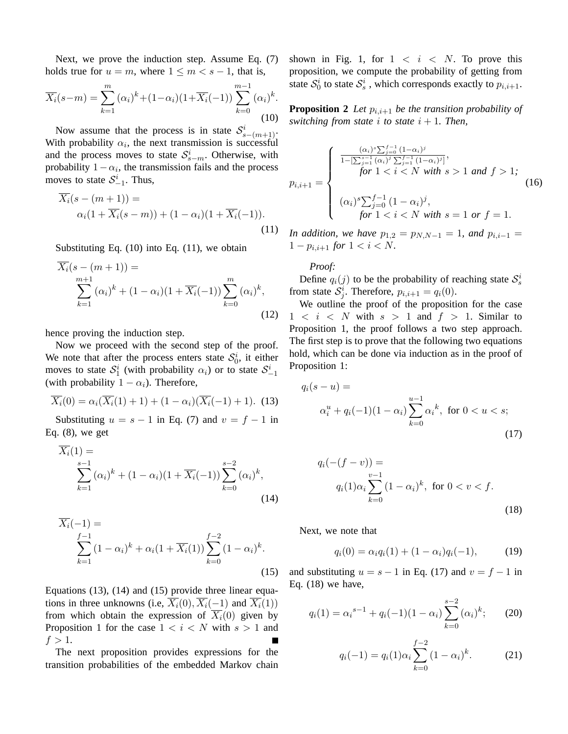Next, we prove the induction step. Assume Eq. (7) holds true for  $u = m$ , where  $1 \le m < s - 1$ , that is,

$$
\overline{X_i}(s-m) = \sum_{k=1}^m (\alpha_i)^k + (1-\alpha_i)(1+\overline{X_i}(-1)) \sum_{k=0}^{m-1} (\alpha_i)^k.
$$
\n(10)

Now assume that the process is in state  $S_{s-(m+1)}^i$ . With probability  $\alpha_i$ , the next transmission is successful and the process moves to state  $S_{s-m}^i$ . Otherwise, with probability  $1 - \alpha_i$ , the transmission fails and the process moves to state  $S_{-1}^i$ . Thus,

$$
\overline{X_i}(s - (m+1)) =
$$
  
\n
$$
\alpha_i(1 + \overline{X_i}(s - m)) + (1 - \alpha_i)(1 + \overline{X_i}(-1)).
$$
\n(11)

Substituting Eq. (10) into Eq. (11), we obtain

$$
\overline{X_i}(s - (m+1)) = \sum_{k=1}^{m+1} (\alpha_i)^k + (1 - \alpha_i)(1 + \overline{X_i}(-1)) \sum_{k=0}^m (\alpha_i)^k,
$$
\n(12)

hence proving the induction step.

Now we proceed with the second step of the proof. We note that after the process enters state  $S_0^i$ , it either moves to state  $S_1^i$  (with probability  $\alpha_i$ ) or to state  $S_{-1}^i$ (with probability  $1 - \alpha_i$ ). Therefore,

$$
\overline{X_i}(0) = \alpha_i(\overline{X_i}(1) + 1) + (1 - \alpha_i)(\overline{X_i}(-1) + 1). \tag{13}
$$

Substituting  $u = s - 1$  in Eq. (7) and  $v = f - 1$  in Eq.  $(8)$ , we get

$$
\overline{X_i}(1) = \sum_{k=1}^{s-1} (\alpha_i)^k + (1 - \alpha_i)(1 + \overline{X_i}(-1)) \sum_{k=0}^{s-2} (\alpha_i)^k,
$$
\n(14)

$$
\overline{X_i}(-1) = \sum_{k=1}^{f-1} (1 - \alpha_i)^k + \alpha_i (1 + \overline{X_i}(1)) \sum_{k=0}^{f-2} (1 - \alpha_i)^k.
$$
\n(15)

Equations (13), (14) and (15) provide three linear equations in three unknowns (i.e,  $\overline{X_i}(0), \overline{X_i}(-1)$  and  $\overline{X_i}(1)$ ) from which obtain the expression of  $\overline{X_i}(0)$  given by Proposition 1 for the case  $1 < i < N$  with  $s > 1$  and  $f > 1$ .

The next proposition provides expressions for the transition probabilities of the embedded Markov chain shown in Fig. 1, for  $1 \le i \le N$ . To prove this proposition, we compute the probability of getting from state  $S_0^i$  to state  $S_s^i$ , which corresponds exactly to  $p_{i,i+1}$ .

**Proposition 2** Let  $p_{i,i+1}$  be the transition probability of *switching from state i to state*  $i + 1$ *. Then,* 

$$
p_{i,i+1} = \begin{cases} \frac{(\alpha_i)^s \sum_{j=0}^{f-1} (1-\alpha_i)^j}{1 - [\sum_{j=1}^{s-1} (\alpha_i)^j \sum_{j=1}^{f-1} (1-\alpha_i)^j]}, & \text{if } j > 1, \text{if } j > 1; \\ \text{for } 1 < i < N \text{ with } s > 1 \text{ and } f > 1; \\ (\alpha_i)^s \sum_{j=0}^{f-1} (1-\alpha_i)^j, & \text{if } j < i < N \text{ with } s = 1 \text{ or } f = 1. \end{cases} \tag{16}
$$

(11) *In addition, we have*  $p_{1,2} = p_{N,N-1} = 1$ *, and*  $p_{i,i-1} =$  $1 - p_{i,i+1}$  *for*  $1 < i < N$ *.* 

### *Proof:*

Define  $q_i(j)$  to be the probability of reaching state  $\mathcal{S}_s^i$ from state  $S_j^i$ . Therefore,  $p_{i,i+1} = q_i(0)$ .

We outline the proof of the proposition for the case  $1 \leq i \leq N$  with  $s > 1$  and  $f > 1$ . Similar to Proposition 1, the proof follows a two step approach. The first step is to prove that the following two equations hold, which can be done via induction as in the proof of Proposition 1:

$$
q_i(s - u) =
$$
  
\n
$$
\alpha_i^u + q_i(-1)(1 - \alpha_i) \sum_{k=0}^{u-1} \alpha_i^k, \text{ for } 0 < u < s;
$$
\n(17)

$$
q_i(-(f - v)) =
$$
  
\n
$$
q_i(1)\alpha_i \sum_{k=0}^{v-1} (1 - \alpha_i)^k, \text{ for } 0 < v < f.
$$
\n(18)

Next, we note that

$$
q_i(0) = \alpha_i q_i(1) + (1 - \alpha_i) q_i(-1), \tag{19}
$$

and substituting  $u = s - 1$  in Eq. (17) and  $v = f - 1$  in Eq.  $(18)$  we have,

$$
q_i(1) = {\alpha_i}^{s-1} + q_i(-1)(1 - \alpha_i) \sum_{k=0}^{s-2} (\alpha_i)^k; \qquad (20)
$$

$$
q_i(-1) = q_i(1)\alpha_i \sum_{k=0}^{f-2} (1 - \alpha_i)^k.
$$
 (21)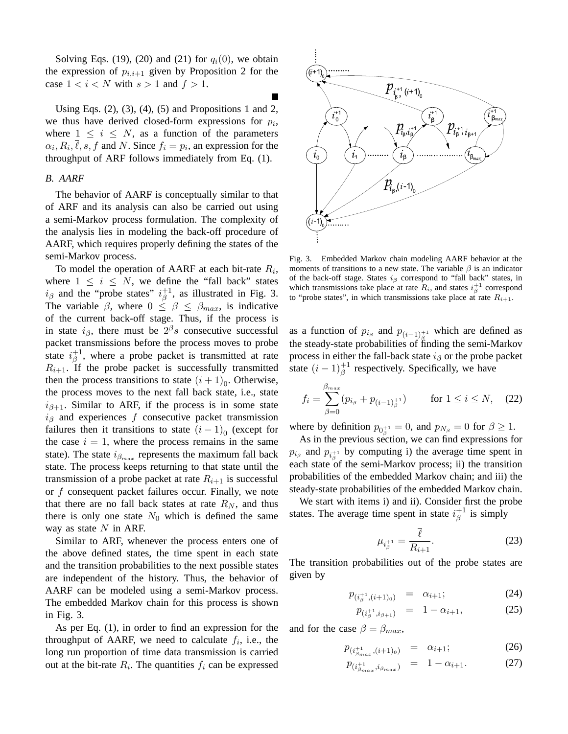Solving Eqs. (19), (20) and (21) for  $q_i(0)$ , we obtain the expression of  $p_{i,i+1}$  given by Proposition 2 for the case  $1 < i < N$  with  $s > 1$  and  $f > 1$ .

Using Eqs.  $(2)$ ,  $(3)$ ,  $(4)$ ,  $(5)$  and Propositions 1 and 2, we thus have derived closed-form expressions for  $p_i$ , where  $1 \leq i \leq N$ , as a function of the parameters  $\alpha_i, R_i, \overline{\ell}, s, f$  and N. Since  $f_i = p_i$ , an expression for the throughput of ARF follows immediately from Eq. (1).

# *B. AARF*

The behavior of AARF is conceptually similar to that of ARF and its analysis can also be carried out using a semi-Markov process formulation. The complexity of the analysis lies in modeling the back-off procedure of AARF, which requires properly defining the states of the semi-Markov process.

To model the operation of AARF at each bit-rate  $R_i$ , where  $1 \leq i \leq N$ , we define the "fall back" states  $i_{\beta}$  and the "probe states"  $i_{\beta}^{+1}$  $\frac{+1}{\beta}$ , as illustrated in Fig. 3. The variable  $\beta$ , where  $0 \leq \beta \leq \beta_{max}$ , is indicative of the current back-off stage. Thus, if the process is in state  $i_{\beta}$ , there must be  $2^{\beta}s$  consecutive successful packet transmissions before the process moves to probe state  $i_A^{\dagger 1}$  $\beta^{\dagger}$ , where a probe packet is transmitted at rate  $R_{i+1}$ . If the probe packet is successfully transmitted then the process transitions to state  $(i + 1)_0$ . Otherwise, the process moves to the next fall back state, i.e., state  $i_{\beta+1}$ . Similar to ARF, if the process is in some state  $i<sub>β</sub>$  and experiences f consecutive packet transmission failures then it transitions to state  $(i - 1)_0$  (except for the case  $i = 1$ , where the process remains in the same state). The state  $i_{\beta_{max}}$  represents the maximum fall back state. The process keeps returning to that state until the transmission of a probe packet at rate  $R_{i+1}$  is successful or f consequent packet failures occur. Finally, we note that there are no fall back states at rate  $R_N$ , and thus there is only one state  $N_0$  which is defined the same way as state  $N$  in ARF.

Similar to ARF, whenever the process enters one of the above defined states, the time spent in each state and the transition probabilities to the next possible states are independent of the history. Thus, the behavior of AARF can be modeled using a semi-Markov process. The embedded Markov chain for this process is shown in Fig. 3.

As per Eq. (1), in order to find an expression for the throughput of AARF, we need to calculate  $f_i$ , i.e., the long run proportion of time data transmission is carried out at the bit-rate  $R_i$ . The quantities  $f_i$  can be expressed



Fig. 3. Embedded Markov chain modeling AARF behavior at the moments of transitions to a new state. The variable  $\beta$  is an indicator of the back-off stage. States  $i_{\beta}$  correspond to "fall back" states, in which transmissions take place at rate  $R_i$ , and states  $i_{\beta}^{+1}$  correspond to "probe states", in which transmissions take place at rate  $R_{i+1}$ .

as a function of  $p_{i_\beta}$  and  $p_{(i-1)\underset{\beta}{+1}}$  which are defined as the steady-state probabilities of finding the semi-Markov process in either the fall-back state  $i_{\beta}$  or the probe packet state  $(i-1)<sub>\beta</sub><sup>+1</sup>$  respectively. Specifically, we have

$$
f_i = \sum_{\beta=0}^{\beta_{max}} (p_{i_{\beta}} + p_{(i-1)_{\beta}^{+1}}) \quad \text{for } 1 \le i \le N, \quad (22)
$$

where by definition  $p_{0_{\beta}^{+1}} = 0$ , and  $p_{N_{\beta}} = 0$  for  $\beta \ge 1$ .

As in the previous section, we can find expressions for  $p_{i_{\beta}}$  and  $p_{i_{\beta}+1}$  by computing i) the average time spent in each state of the semi-Markov process; ii) the transition probabilities of the embedded Markov chain; and iii) the steady-state probabilities of the embedded Markov chain.

We start with items i) and ii). Consider first the probe states. The average time spent in state  $i_A^{-1}$  $\frac{1}{\beta}$  is simply

$$
\mu_{i_{\beta}^{+1}} = \frac{\ell}{R_{i+1}}.\tag{23}
$$

The transition probabilities out of the probe states are given by

$$
p_{(i_{\beta}^{+1}, (i+1)_{0})} = \alpha_{i+1}; \qquad (24)
$$

$$
p_{(i_{\beta}^{+1}, i_{\beta+1})} = 1 - \alpha_{i+1}, \tag{25}
$$

and for the case  $\beta = \beta_{max}$ ,

$$
p_{(i_{\beta_{max}}^+(i+1)_0)} = \alpha_{i+1}; \tag{26}
$$

$$
p_{(i_{\beta_{max}}^+, i_{\beta_{max}})} = 1 - \alpha_{i+1}.
$$
 (27)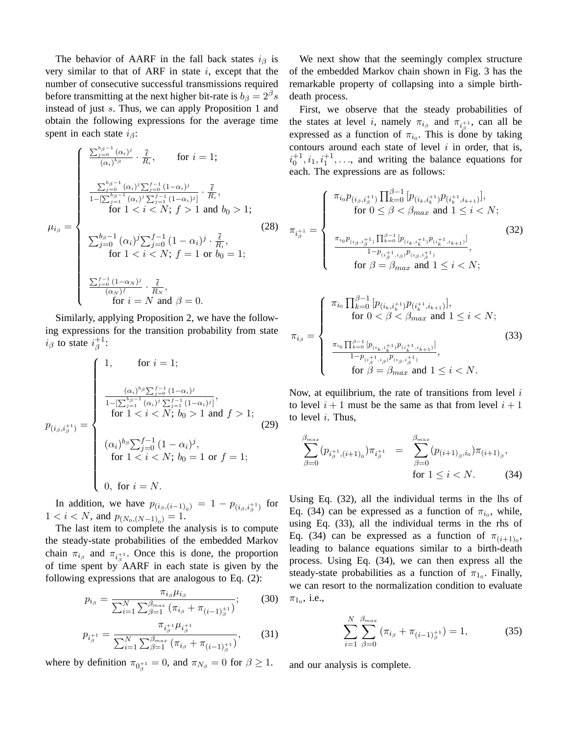The behavior of AARF in the fall back states  $i_{\beta}$  is very similar to that of ARF in state  $i$ , except that the number of consecutive successful transmissions required before transmitting at the next higher bit-rate is  $b_{\beta} = 2^{\beta} s$ instead of just s. Thus, we can apply Proposition 1 and obtain the following expressions for the average time spent in each state  $i_{\beta}$ :

$$
\mu_{i_{\beta}} = \begin{cases}\n\frac{\sum_{j=0}^{b_{\beta}-1} (\alpha_{i})^{j}}{(\alpha_{i})^{b_{\beta}}} \cdot \frac{\bar{\ell}}{R_{i}}, & \text{for } i = 1; \\
\frac{\sum_{j=0}^{b_{\beta}-1} (\alpha_{i})^{j} \sum_{j=0}^{f-1} (1-\alpha_{i})^{j}}{1 - [\sum_{j=1}^{b_{\beta}-1} (\alpha_{i})^{j} \sum_{j=1}^{f-1} (1-\alpha_{i})^{j}]} \cdot \frac{\bar{\ell}}{R_{i}}, \\
\text{for } 1 < i < N; f > 1 \text{ and } b_{0} > 1; \\
\sum_{j=0}^{b_{\beta}-1} (\alpha_{i})^{j} \sum_{j=0}^{f-1} (1-\alpha_{i})^{j} \cdot \frac{\bar{\ell}}{R_{i}}, \\
\text{for } 1 < i < N; f = 1 \text{ or } b_{0} = 1; \\
\frac{\sum_{j=0}^{f-1} (1-\alpha_{N})^{j}}{(\alpha_{N})^{f}} \cdot \frac{\bar{\ell}}{R_{N}}, \\
\text{for } i = N \text{ and } \beta = 0.\n\end{cases}
$$
\n(28)

Similarly, applying Proposition 2, we have the following expressions for the transition probability from state  $i_{\beta}$  to state  $i_{\beta}^{+1}$  $^{\pm 1}_{\beta}$ :

$$
p_{(i_{\beta},i_{\beta}^{+1})} = \begin{cases} 1, & \text{for } i = 1; \\ & \frac{(\alpha_i)^{b_{\beta}} \sum_{j=0}^{f-1} (1-\alpha_i)^j}{1 - [\sum_{j=1}^{b_{\beta}-1} (\alpha_i)^j \sum_{j=1}^{f-1} (1-\alpha_i)^j]}, \\ & \text{for } 1 < i < N; b_0 > 1 \text{ and } f > 1; \\ & (\alpha_i)^{b_{\beta}} \sum_{j=0}^{f-1} (1-\alpha_i)^j, \\ & \text{for } 1 < i < N; b_0 = 1 \text{ or } f = 1; \\ 0, & \text{for } i = N. \end{cases} (29)
$$

In addition, we have  $p_{(i_\beta,(i-1)_0)} = 1 - p_{(i_\beta,i_\beta^{+1})}$  for  $1 < i < N$ , and  $p_{(N_0, (N-1)_0)} = 1$ .

The last item to complete the analysis is to compute the steady-state probabilities of the embedded Markov chain  $\pi_{i_{\beta}}$  and  $\pi_{i_{\beta}^{+1}}$ . Once this is done, the proportion of time spent by AARF in each state is given by the following expressions that are analogous to Eq. (2):

$$
p_{i_{\beta}} = \frac{\pi_{i_{\beta}}\mu_{i_{\beta}}}{\sum_{i=1}^{N} \sum_{\beta=1}^{\beta_{max}} (\pi_{i_{\beta}} + \pi_{(i-1)_{\beta}}^{+1})};
$$
(30)

$$
p_{i_{\beta}^{+1}} = \frac{\pi_{i_{\beta}^{+1}} \mu_{i_{\beta}^{+1}}}{\sum_{i=1}^{N} \sum_{\beta=1}^{\beta_{max}} (\pi_{i_{\beta}} + \pi_{(i-1)_{\beta}^{+1}})},
$$
(31)

where by definition  $\pi_{0_{\beta}^{+1}} = 0$ , and  $\pi_{N_{\beta}} = 0$  for  $\beta \ge 1$ .

We next show that the seemingly complex structure of the embedded Markov chain shown in Fig. 3 has the remarkable property of collapsing into a simple birthdeath process.

First, we observe that the steady probabilities of the states at level i, namely  $\pi_{i\beta}$  and  $\pi_{i\beta}^{+1}$ , can all be expressed as a function of  $\pi_{i_0}$ . This is done by taking contours around each state of level  $i$  in order, that is,  $i_0^{+1}, i_1, i_1^{+1}, \ldots$ , and writing the balance equations for each. The expressions are as follows:

$$
\pi_{i_{\beta}^{+1}} = \begin{cases}\n\pi_{i_{0}} p_{(i_{\beta}, i_{\beta}^{+1})} \prod_{k=0}^{\beta-1} [p_{(i_{k}, i_{k}^{+1})} p_{(i_{k}^{+1}, i_{k+1})}], & \text{for } 0 \leq \beta < \beta_{max} \text{ and } 1 \leq i < N; \\
\frac{\pi_{i_{0}} p_{(i_{\beta}, i_{\beta}^{+1})} \prod_{k=0}^{\beta-1} [p_{(i_{k}, i_{k}^{+1})} p_{(i_{k}^{+1}, i_{k+1})}]}{1 - p_{(i_{\beta}^{+1}, i_{\beta})} p_{(i_{\beta}, i_{\beta}^{+1})}}, & \text{(32)} \\
\frac{\pi_{i_{0}} p_{(i_{\beta}, i_{\beta}^{+1})} \prod_{k=0}^{\beta-1} [p_{(i_{k}, i_{k}^{+1})} p_{(i_{k}^{+1}, i_{k+1})}]}{1 - p_{(i_{\beta}^{+1}, i_{\beta})} p_{(i_{\beta}, i_{\beta}^{+1})}}, & \text{(32)} \\
\end{cases}
$$

$$
\pi_{i_{\beta}} = \begin{cases}\n\pi_{i_{0}} \prod_{k=0}^{\beta-1} [p_{(i_{k},i_{k}^{+1})} p_{(i_{k}^{+1},i_{k+1})}], & \text{for } 0 < \beta < \beta_{max} \text{ and } 1 \leq i < N; \\
\frac{\pi_{i_{0}} \prod_{k=0}^{\beta-1} [p_{(i_{k},i_{k}^{+1})} p_{(i_{k}^{+1},i_{k+1})}]}{1 - p_{(i_{\beta}^{+1},i_{\beta})} p_{(i_{\beta},i_{\beta}^{+1})}}, & \text{for } \beta = \beta_{max} \text{ and } 1 \leq i < N.\n\end{cases}
$$
\n(33)

Now, at equilibrium, the rate of transitions from level  $i$ to level  $i + 1$  must be the same as that from level  $i + 1$ to level  $i$ . Thus,

$$
\sum_{\beta=0}^{\beta_{max}} (p_{i_{\beta}+1,(i+1)_{0}}) \pi_{i_{\beta}+1} = \sum_{\beta=0}^{\beta_{max}} (p_{(i+1)_{\beta},i_{0}}) \pi_{(i+1)_{\beta}},
$$
  
for  $1 \le i < N$ . (34)

Using Eq. (32), all the individual terms in the lhs of Eq. (34) can be expressed as a function of  $\pi_{i_0}$ , while, using Eq. (33), all the individual terms in the rhs of Eq. (34) can be expressed as a function of  $\pi_{(i+1)_0}$ , leading to balance equations similar to a birth-death process. Using Eq. (34), we can then express all the steady-state probabilities as a function of  $\pi_{10}$ . Finally, we can resort to the normalization condition to evaluate  $\pi_{1_0}$ , i.e.,

$$
\sum_{i=1}^{N} \sum_{\beta=0}^{\beta_{max}} (\pi_{i_{\beta}} + \pi_{(i-1)_{\beta}^{+1}}) = 1, \qquad (35)
$$

and our analysis is complete.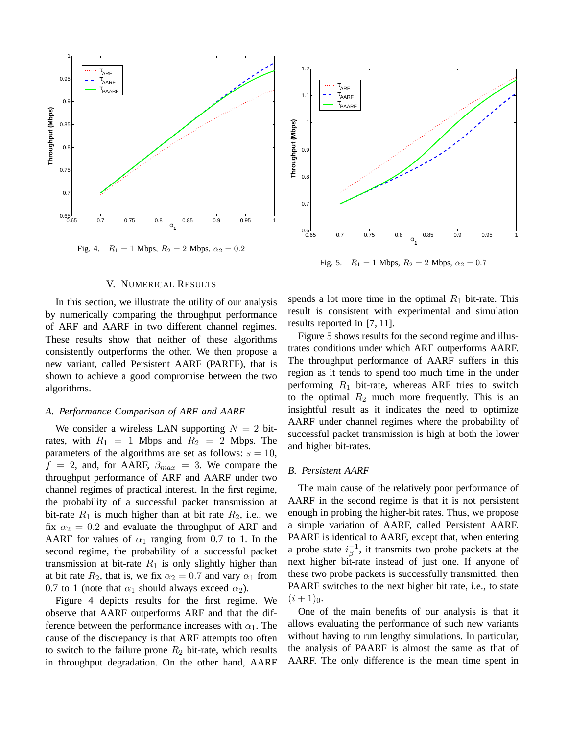

Fig. 4.  $R_1 = 1$  Mbps,  $R_2 = 2$  Mbps,  $\alpha_2 = 0.2$ 

# $1.2$  $\tau$ <sub>ARF</sub>  $1.1$  $\tau_{\rm AARF}$  $\tau$ <sub>PAARF</sub> Throughput (Mbps) **Throughput (Mbps)** 1 F 0.9 0.8 0.7  $0.6 - 0.65$ 0.65 0.7 0.75 0.8 0.85 0.9 0.95 1  $\alpha$ <sub>1</sub>

Fig. 5.  $R_1 = 1$  Mbps,  $R_2 = 2$  Mbps,  $\alpha_2 = 0.7$ 

# V. NUMERICAL RESULTS

In this section, we illustrate the utility of our analysis by numerically comparing the throughput performance of ARF and AARF in two different channel regimes. These results show that neither of these algorithms consistently outperforms the other. We then propose a new variant, called Persistent AARF (PARFF), that is shown to achieve a good compromise between the two algorithms.

### *A. Performance Comparison of ARF and AARF*

We consider a wireless LAN supporting  $N = 2$  bitrates, with  $R_1 = 1$  Mbps and  $R_2 = 2$  Mbps. The parameters of the algorithms are set as follows:  $s = 10$ ,  $f = 2$ , and, for AARF,  $\beta_{max} = 3$ . We compare the throughput performance of ARF and AARF under two channel regimes of practical interest. In the first regime, the probability of a successful packet transmission at bit-rate  $R_1$  is much higher than at bit rate  $R_2$ , i.e., we fix  $\alpha_2 = 0.2$  and evaluate the throughput of ARF and AARF for values of  $\alpha_1$  ranging from 0.7 to 1. In the second regime, the probability of a successful packet transmission at bit-rate  $R_1$  is only slightly higher than at bit rate  $R_2$ , that is, we fix  $\alpha_2 = 0.7$  and vary  $\alpha_1$  from 0.7 to 1 (note that  $\alpha_1$  should always exceed  $\alpha_2$ ).

Figure 4 depicts results for the first regime. We observe that AARF outperforms ARF and that the difference between the performance increases with  $\alpha_1$ . The cause of the discrepancy is that ARF attempts too often to switch to the failure prone  $R_2$  bit-rate, which results in throughput degradation. On the other hand, AARF

spends a lot more time in the optimal  $R_1$  bit-rate. This result is consistent with experimental and simulation results reported in [7, 11].

Figure 5 shows results for the second regime and illustrates conditions under which ARF outperforms AARF. The throughput performance of AARF suffers in this region as it tends to spend too much time in the under performing  $R_1$  bit-rate, whereas ARF tries to switch to the optimal  $R_2$  much more frequently. This is an insightful result as it indicates the need to optimize AARF under channel regimes where the probability of successful packet transmission is high at both the lower and higher bit-rates.

### *B. Persistent AARF*

The main cause of the relatively poor performance of AARF in the second regime is that it is not persistent enough in probing the higher-bit rates. Thus, we propose a simple variation of AARF, called Persistent AARF. PAARF is identical to AARF, except that, when entering a probe state  $i_{\beta}^{+1}$  $\beta^{\dagger}$ , it transmits two probe packets at the next higher bit-rate instead of just one. If anyone of these two probe packets is successfully transmitted, then PAARF switches to the next higher bit rate, i.e., to state  $(i+1)_{0}$ .

One of the main benefits of our analysis is that it allows evaluating the performance of such new variants without having to run lengthy simulations. In particular, the analysis of PAARF is almost the same as that of AARF. The only difference is the mean time spent in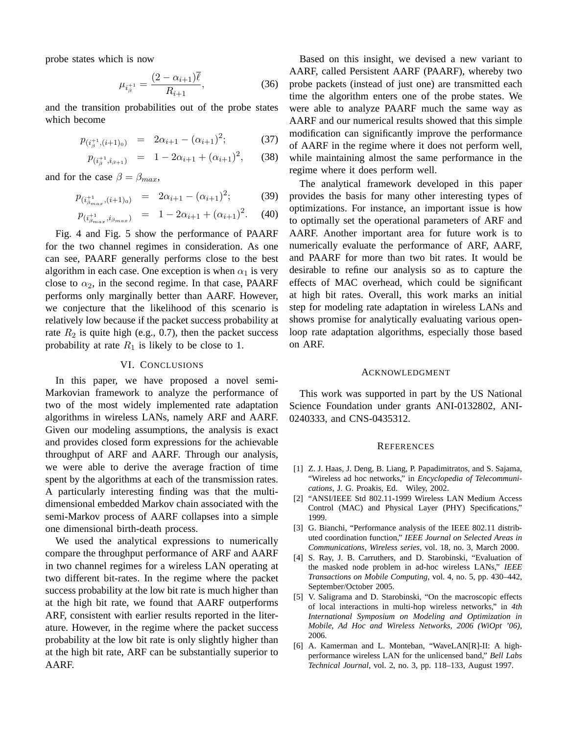probe states which is now

$$
\mu_{i_{\beta}^{+1}} = \frac{(2 - \alpha_{i+1})\overline{\ell}}{R_{i+1}},\tag{36}
$$

and the transition probabilities out of the probe states which become

$$
p_{(i_\beta^{+1}, (i+1)_0)} = 2\alpha_{i+1} - (\alpha_{i+1})^2; \tag{37}
$$

$$
p_{(i_{\beta}^{+1}, i_{\beta+1})} = 1 - 2\alpha_{i+1} + (\alpha_{i+1})^2, \qquad (38)
$$

and for the case  $\beta = \beta_{max}$ ,

$$
p_{(i_{\beta_{max}}^{-1}, (i+1)_0)} = 2\alpha_{i+1} - (\alpha_{i+1})^2; \tag{39}
$$

$$
p_{(i_{\beta_{max}}^{+1}, i_{\beta_{max}})} = 1 - 2\alpha_{i+1} + (\alpha_{i+1})^2.
$$
 (40)

Fig. 4 and Fig. 5 show the performance of PAARF for the two channel regimes in consideration. As one can see, PAARF generally performs close to the best algorithm in each case. One exception is when  $\alpha_1$  is very close to  $\alpha_2$ , in the second regime. In that case, PAARF performs only marginally better than AARF. However, we conjecture that the likelihood of this scenario is relatively low because if the packet success probability at rate  $R_2$  is quite high (e.g., 0.7), then the packet success probability at rate  $R_1$  is likely to be close to 1.

### VI. CONCLUSIONS

In this paper, we have proposed a novel semi-Markovian framework to analyze the performance of two of the most widely implemented rate adaptation algorithms in wireless LANs, namely ARF and AARF. Given our modeling assumptions, the analysis is exact and provides closed form expressions for the achievable throughput of ARF and AARF. Through our analysis, we were able to derive the average fraction of time spent by the algorithms at each of the transmission rates. A particularly interesting finding was that the multidimensional embedded Markov chain associated with the semi-Markov process of AARF collapses into a simple one dimensional birth-death process.

We used the analytical expressions to numerically compare the throughput performance of ARF and AARF in two channel regimes for a wireless LAN operating at two different bit-rates. In the regime where the packet success probability at the low bit rate is much higher than at the high bit rate, we found that AARF outperforms ARF, consistent with earlier results reported in the literature. However, in the regime where the packet success probability at the low bit rate is only slightly higher than at the high bit rate, ARF can be substantially superior to AARF.

Based on this insight, we devised a new variant to AARF, called Persistent AARF (PAARF), whereby two probe packets (instead of just one) are transmitted each time the algorithm enters one of the probe states. We were able to analyze PAARF much the same way as AARF and our numerical results showed that this simple modification can significantly improve the performance of AARF in the regime where it does not perform well, while maintaining almost the same performance in the regime where it does perform well.

The analytical framework developed in this paper provides the basis for many other interesting types of optimizations. For instance, an important issue is how to optimally set the operational parameters of ARF and AARF. Another important area for future work is to numerically evaluate the performance of ARF, AARF, and PAARF for more than two bit rates. It would be desirable to refine our analysis so as to capture the effects of MAC overhead, which could be significant at high bit rates. Overall, this work marks an initial step for modeling rate adaptation in wireless LANs and shows promise for analytically evaluating various openloop rate adaptation algorithms, especially those based on ARF.

### ACKNOWLEDGMENT

This work was supported in part by the US National Science Foundation under grants ANI-0132802, ANI-0240333, and CNS-0435312.

#### **REFERENCES**

- [1] Z. J. Haas, J. Deng, B. Liang, P. Papadimitratos, and S. Sajama, "Wireless ad hoc networks," in *Encyclopedia of Telecommunications*, J. G. Proakis, Ed. Wiley, 2002.
- [2] "ANSI/IEEE Std 802.11-1999 Wireless LAN Medium Access Control (MAC) and Physical Layer (PHY) Specifications," 1999.
- [3] G. Bianchi, "Performance analysis of the IEEE 802.11 distributed coordination function," *IEEE Journal on Selected Areas in Communications, Wireless series*, vol. 18, no. 3, March 2000.
- [4] S. Ray, J. B. Carruthers, and D. Starobinski, "Evaluation of the masked node problem in ad-hoc wireless LANs," *IEEE Transactions on Mobile Computing*, vol. 4, no. 5, pp. 430–442, September/October 2005.
- [5] V. Saligrama and D. Starobinski, "On the macroscopic effects of local interactions in multi-hop wireless networks," in *4th International Symposium on Modeling and Optimization in Mobile, Ad Hoc and Wireless Networks, 2006 (WiOpt '06)*, 2006.
- [6] A. Kamerman and L. Monteban, "WaveLAN[R]-II: A highperformance wireless LAN for the unlicensed band," *Bell Labs Technical Journal*, vol. 2, no. 3, pp. 118–133, August 1997.